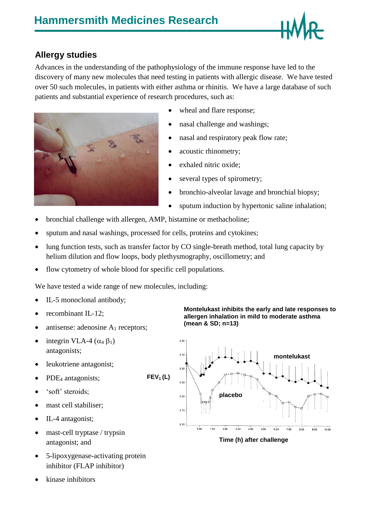

## **Allergy studies**

Advances in the understanding of the pathophysiology of the immune response have led to the discovery of many new molecules that need testing in patients with allergic disease. We have tested over 50 such molecules, in patients with either asthma or rhinitis. We have a large database of such patients and substantial experience of research procedures, such as:



- wheal and flare response;
- nasal challenge and washings;
- nasal and respiratory peak flow rate;
- acoustic rhinometry;
- exhaled nitric oxide;
- several types of spirometry;
- bronchio-alveolar lavage and bronchial biopsy;
- sputum induction by hypertonic saline inhalation;
- bronchial challenge with allergen, AMP, histamine or methacholine;
- sputum and nasal washings, processed for cells, proteins and cytokines;
- lung function tests, such as transfer factor by CO single-breath method, total lung capacity by helium dilution and flow loops, body plethysmography, oscillometry; and
- flow cytometry of whole blood for specific cell populations.

We have tested a wide range of new molecules, including:

- IL-5 monoclonal antibody;
- recombinant IL-12;
- antisense: adenosine  $A_1$  receptors;
- $\bullet$  integrin VLA-4 ( $\alpha_4$   $\beta_1$ ) antagonists;
- leukotriene antagonist;
- PDE<sub>4</sub> antagonists; **FEV<sup>1</sup> (L)**
- 'soft' steroids;
- mast cell stabiliser;
- IL-4 antagonist;
- mast-cell tryptase / trypsin antagonist; and
- 5-lipoxygenase-activating protein inhibitor (FLAP inhibitor)
- kinase inhibitors

**Montelukast inhibits the early and late responses to allergen inhalation in mild to moderate asthma (mean & SD; n=13)**